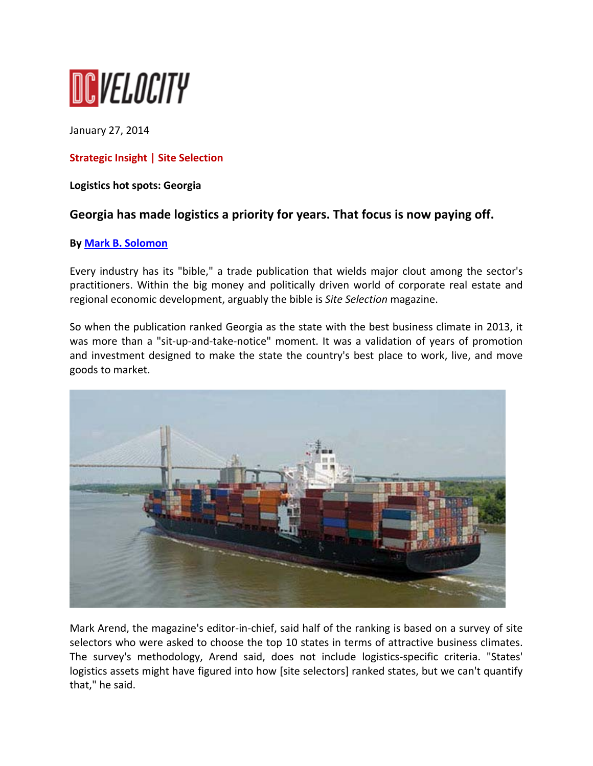

January 27, 2014

# **Strategic Insight | Site Selection**

## **Logistics hot spots: Georgia**

# **Georgia has made logistics a priority for years. That focus is now paying off.**

#### **By Mark B. Solomon**

Every industry has its "bible," a trade publication that wields major clout among the sector's practitioners. Within the big money and politically driven world of corporate real estate and regional economic development, arguably the bible is *Site Selection* magazine.

So when the publication ranked Georgia as the state with the best business climate in 2013, it was more than a "sit-up-and-take-notice" moment. It was a validation of years of promotion and investment designed to make the state the country's best place to work, live, and move goods to market.



Mark Arend, the magazine's editor‐in‐chief, said half of the ranking is based on a survey of site selectors who were asked to choose the top 10 states in terms of attractive business climates. The survey's methodology, Arend said, does not include logistics-specific criteria. "States' logistics assets might have figured into how [site selectors] ranked states, but we can't quantify that," he said.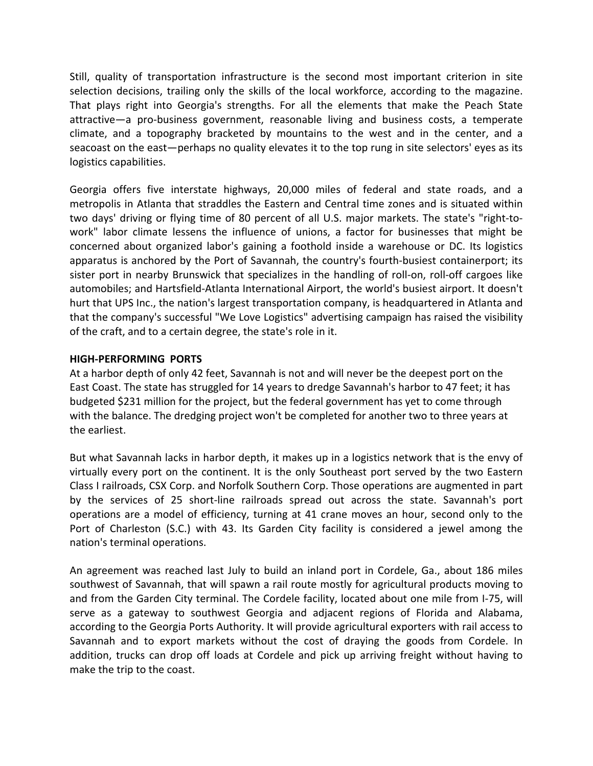Still, quality of transportation infrastructure is the second most important criterion in site selection decisions, trailing only the skills of the local workforce, according to the magazine. That plays right into Georgia's strengths. For all the elements that make the Peach State attractive—a pro‐business government, reasonable living and business costs, a temperate climate, and a topography bracketed by mountains to the west and in the center, and a seacoast on the east—perhaps no quality elevates it to the top rung in site selectors' eyes as its logistics capabilities.

Georgia offers five interstate highways, 20,000 miles of federal and state roads, and a metropolis in Atlanta that straddles the Eastern and Central time zones and is situated within two days' driving or flying time of 80 percent of all U.S. major markets. The state's "right‐to‐ work" labor climate lessens the influence of unions, a factor for businesses that might be concerned about organized labor's gaining a foothold inside a warehouse or DC. Its logistics apparatus is anchored by the Port of Savannah, the country's fourth‐busiest containerport; its sister port in nearby Brunswick that specializes in the handling of roll‐on, roll‐off cargoes like automobiles; and Hartsfield‐Atlanta International Airport, the world's busiest airport. It doesn't hurt that UPS Inc., the nation's largest transportation company, is headquartered in Atlanta and that the company's successful "We Love Logistics" advertising campaign has raised the visibility of the craft, and to a certain degree, the state's role in it.

## **HIGH‐PERFORMING PORTS**

At a harbor depth of only 42 feet, Savannah is not and will never be the deepest port on the East Coast. The state has struggled for 14 years to dredge Savannah's harbor to 47 feet; it has budgeted \$231 million for the project, but the federal government has yet to come through with the balance. The dredging project won't be completed for another two to three years at the earliest.

But what Savannah lacks in harbor depth, it makes up in a logistics network that is the envy of virtually every port on the continent. It is the only Southeast port served by the two Eastern Class I railroads, CSX Corp. and Norfolk Southern Corp. Those operations are augmented in part by the services of 25 short‐line railroads spread out across the state. Savannah's port operations are a model of efficiency, turning at 41 crane moves an hour, second only to the Port of Charleston (S.C.) with 43. Its Garden City facility is considered a jewel among the nation's terminal operations.

An agreement was reached last July to build an inland port in Cordele, Ga., about 186 miles southwest of Savannah, that will spawn a rail route mostly for agricultural products moving to and from the Garden City terminal. The Cordele facility, located about one mile from I‐75, will serve as a gateway to southwest Georgia and adjacent regions of Florida and Alabama, according to the Georgia Ports Authority. It will provide agricultural exporters with rail access to Savannah and to export markets without the cost of draying the goods from Cordele. In addition, trucks can drop off loads at Cordele and pick up arriving freight without having to make the trip to the coast.